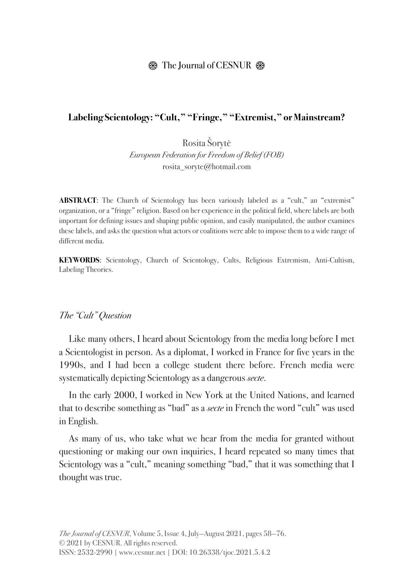### **<sup><sup>8</sup>**</sup> The Journal of CESNUR  $$$

#### **Labeling Scientology: "Cult," "Fringe," "Extremist," or Mainstream?**

Rosita Šorytė *European Federation for Freedom of Belief (FOB)* rosita\_soryte@hotmail.com

**ABSTRACT:** The Church of Scientology has been variously labeled as a "cult," an "extremist" organization, or a "fringe" religion. Based on her experience in the political field, where labels are both important for defining issues and shaping public opinion, and easily manipulated, the author examines these labels, and asks the question what actors or coalitions were able to impose them to a wide range of different media.

**KEYWORDS**: Scientology, Church of Scientology, Cults, Religious Extremism, Anti-Cultism, Labeling Theories.

#### *The "Cult" Question*

Like many others, I heard about Scientology from the media long before I met a Scientologist in person. As a diplomat, I worked in France for five years in the 1990s, and I had been a college student there before. French media were systematically depicting Scientology as a dangerous *secte*.

In the early 2000, I worked in New York at the United Nations, and learned that to describe something as "bad" as a *secte* in French the word "cult" was used in English.

As many of us, who take what we hear from the media for granted without questioning or making our own inquiries, I heard repeated so many times that Scientology was a "cult," meaning something "bad," that it was something that I thought was true.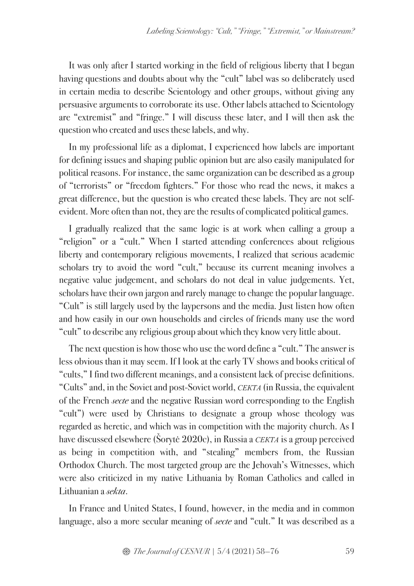It was only after I started working in the field of religious liberty that I began having questions and doubts about why the "cult" label was so deliberately used in certain media to describe Scientology and other groups, without giving any persuasive arguments to corroborate its use. Other labels attached to Scientology are "extremist" and "fringe." I will discuss these later, and I will then ask the question who created and uses these labels, and why.

In my professional life as a diplomat, I experienced how labels are important for defining issues and shaping public opinion but are also easily manipulated for political reasons. For instance, the same organization can be described as a group of "terrorists" or "freedom fighters." For those who read the news, it makes a great difference, but the question is who created these labels. They are not selfevident. More often than not, they are the results of complicated political games.

I gradually realized that the same logic is at work when calling a group a "religion" or a "cult." When I started attending conferences about religious liberty and contemporary religious movements, I realized that serious academic scholars try to avoid the word "cult," because its current meaning involves a negative value judgement, and scholars do not deal in value judgements. Yet, scholars have their own jargon and rarely manage to change the popular language. "Cult" is still largely used by the laypersons and the media. Just listen how often and how easily in our own households and circles of friends many use the word "cult" to describe any religious group about which they know very little about.

The next question is how those who use the word define a "cult." The answer is less obvious than it may seem. If I look at the early TV shows and books critical of "cults," I find two different meanings, and a consistent lack of precise definitions. "Cults" and, in the Soviet and post-Soviet world, *СЕКТА* (in Russia, the equivalent of the French *secte* and the negative Russian word corresponding to the English "cult") were used by Christians to designate a group whose theology was regarded as heretic, and which was in competition with the majority church. As I have discussed elsewhere (Šorytė 2020c), in Russia a *CEKTA* is a group perceived as being in competition with, and "stealing" members from, the Russian Orthodox Church. The most targeted group are the Jehovah's Witnesses, which were also criticized in my native Lithuania by Roman Catholics and called in Lithuanian a *sekta*.

In France and United States, I found, however, in the media and in common language, also a more secular meaning of *secte* and "cult." It was described as a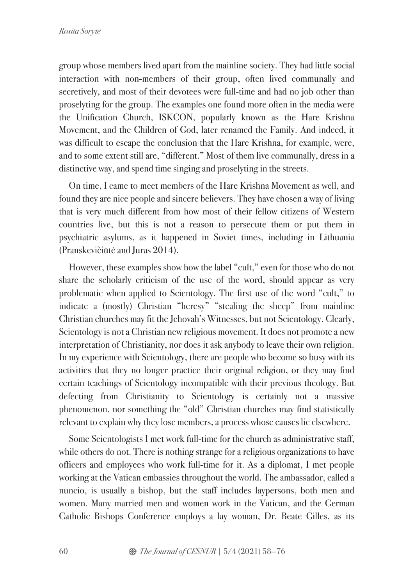group whose members lived apart from the mainline society. They had little social interaction with non-members of their group, often lived communally and secretively, and most of their devotees were full-time and had no job other than proselyting for the group. The examples one found more often in the media were the Unification Church, ISKCON, popularly known as the Hare Krishna Movement, and the Children of God, later renamed the Family. And indeed, it was difficult to escape the conclusion that the Hare Krishna, for example, were, and to some extent still are, "different." Most of them live communally, dress in a distinctive way, and spend time singing and proselyting in the streets.

On time, I came to meet members of the Hare Krishna Movement as well, and found they are nice people and sincere believers. They have chosen a way of living that is very much different from how most of their fellow citizens of Western countries live, but this is not a reason to persecute them or put them in psychiatric asylums, as it happened in Soviet times, including in Lithuania (Pranskevičiūtė and Juras 2014).

However, these examples show how the label "cult," even for those who do not share the scholarly criticism of the use of the word, should appear as very problematic when applied to Scientology. The first use of the word "cult," to indicate a (mostly) Christian "heresy" "stealing the sheep" from mainline Christian churches may fit the Jehovah's Witnesses, but not Scientology. Clearly, Scientology is not a Christian new religious movement. It does not promote a new interpretation of Christianity, nor does it ask anybody to leave their own religion. In my experience with Scientology, there are people who become so busy with its activities that they no longer practice their original religion, or they may find certain teachings of Scientology incompatible with their previous theology. But defecting from Christianity to Scientology is certainly not a massive phenomenon, nor something the "old" Christian churches may find statistically relevant to explain why they lose members, a process whose causes lie elsewhere.

Some Scientologists I met work full-time for the church as administrative staff, while others do not. There is nothing strange for a religious organizations to have officers and employees who work full-time for it. As a diplomat, I met people working at the Vatican embassies throughout the world. The ambassador, called a nuncio, is usually a bishop, but the staff includes laypersons, both men and women. Many married men and women work in the Vatican, and the German Catholic Bishops Conference employs a lay woman, Dr. Beate Gilles, as its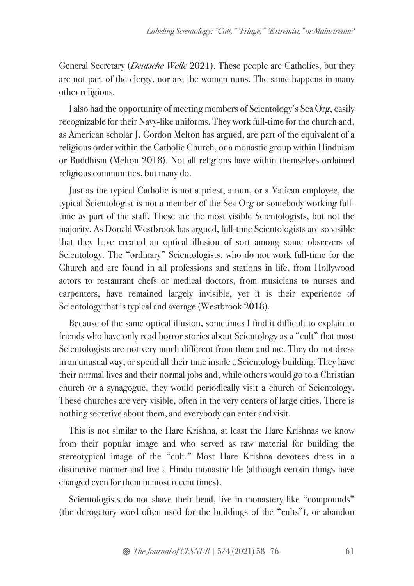General Secretary (*Deutsche Welle* 2021). These people are Catholics, but they are not part of the clergy, nor are the women nuns. The same happens in many other religions.

I also had the opportunity of meeting members of Scientology's Sea Org, easily recognizable for their Navy-like uniforms. They work full-time for the church and, as American scholar J. Gordon Melton has argued, are part of the equivalent of a religious order within the Catholic Church, or a monastic group within Hinduism or Buddhism (Melton 2018). Not all religions have within themselves ordained religious communities, but many do.

Just as the typical Catholic is not a priest, a nun, or a Vatican employee, the typical Scientologist is not a member of the Sea Org or somebody working fulltime as part of the staff. These are the most visible Scientologists, but not the majority. As Donald Westbrook has argued, full-time Scientologists are so visible that they have created an optical illusion of sort among some observers of Scientology. The "ordinary" Scientologists, who do not work full-time for the Church and are found in all professions and stations in life, from Hollywood actors to restaurant chefs or medical doctors, from musicians to nurses and carpenters, have remained largely invisible, yet it is their experience of Scientology that is typical and average (Westbrook 2018).

Because of the same optical illusion, sometimes I find it difficult to explain to friends who have only read horror stories about Scientology as a "cult" that most Scientologists are not very much different from them and me. They do not dress in an unusual way, or spend all their time inside a Scientology building. They have their normal lives and their normal jobs and, while others would go to a Christian church or a synagogue, they would periodically visit a church of Scientology. These churches are very visible, often in the very centers of large cities. There is nothing secretive about them, and everybody can enter and visit.

This is not similar to the Hare Krishna, at least the Hare Krishnas we know from their popular image and who served as raw material for building the stereotypical image of the "cult." Most Hare Krishna devotees dress in a distinctive manner and live a Hindu monastic life (although certain things have changed even for them in most recent times).

Scientologists do not shave their head, live in monastery-like "compounds" (the derogatory word often used for the buildings of the "cults"), or abandon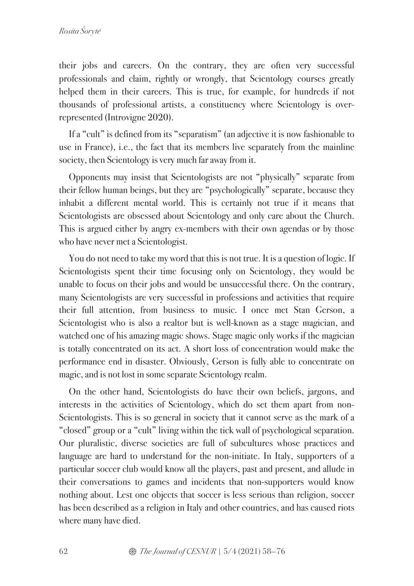their jobs and careers. On the contrary, they are often very successful professionals and claim, rightly or wrongly, that Scientology courses greatly helped them in their careers. This is true, for example, for hundreds if not thousands of professional artists, a constituency where Scientology is overrepresented (Introvigne 2020).

If a "cult" is defined from its "separatism" (an adjective it is now fashionable to use in France), i.e., the fact that its members live separately from the mainline society, then Scientology is very much far away from it.

Opponents may insist that Scientologists are not "physically" separate from their fellow human beings, but they are "psychologically" separate, because they inhabit a different mental world. This is certainly not true if it means that Scientologists are obsessed about Scientology and only care about the Church. This is argued either by angry ex-members with their own agendas or by those who have never met a Scientologist.

You do not need to take my word that this is not true. It is a question of logic. If Scientologists spent their time focusing only on Scientology, they would be unable to focus on their jobs and would be unsuccessful there. On the contrary, many Scientologists are very successful in professions and activities that require their full attention, from business to music. I once met Stan Gerson, a Scientologist who is also a realtor but is well-known as a stage magician, and watched one of his amazing magic shows. Stage magic only works if the magician is totally concentrated on its act. A short loss of concentration would make the performance end in disaster. Obviously, Gerson is fully able to concentrate on magic, and is not lost in some separate Scientology realm.

On the other hand, Scientologists do have their own beliefs, jargons, and interests in the activities of Scientology, which do set them apart from non-Scientologists. This is so general in society that it cannot serve as the mark of a "closed" group or a "cult" living within the tick wall of psychological separation. Our pluralistic, diverse societies are full of subcultures whose practices and language are hard to understand for the non-initiate. In Italy, supporters of a particular soccer club would know all the players, past and present, and allude in their conversations to games and incidents that non-supporters would know nothing about. Lest one objects that soccer is less serious than religion, soccer has been described as a religion in Italy and other countries, and has caused riots where many have died.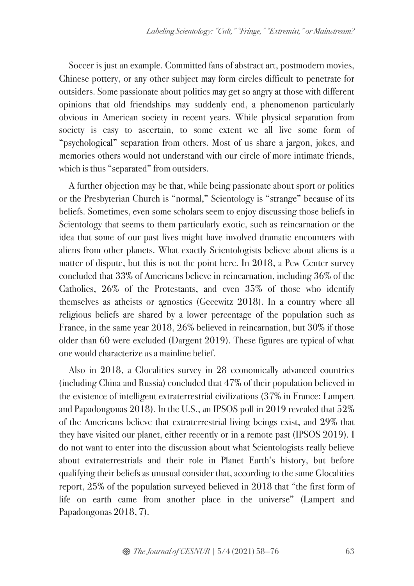Soccer is just an example. Committed fans of abstract art, postmodern movies, Chinese pottery, or any other subject may form circles difficult to penetrate for outsiders. Some passionate about politics may get so angry at those with different opinions that old friendships may suddenly end, a phenomenon particularly obvious in American society in recent years. While physical separation from society is easy to ascertain, to some extent we all live some form of "psychological" separation from others. Most of us share a jargon, jokes, and memories others would not understand with our circle of more intimate friends, which is thus "separated" from outsiders.

A further objection may be that, while being passionate about sport or politics or the Presbyterian Church is "normal," Scientology is "strange" because of its beliefs. Sometimes, even some scholars seem to enjoy discussing those beliefs in Scientology that seems to them particularly exotic, such as reincarnation or the idea that some of our past lives might have involved dramatic encounters with aliens from other planets. What exactly Scientologists believe about aliens is a matter of dispute, but this is not the point here. In 2018, a Pew Center survey concluded that 33% of Americans believe in reincarnation, including 36% of the Catholics, 26% of the Protestants, and even 35% of those who identify themselves as atheists or agnostics (Gecewitz 2018). In a country where all religious beliefs are shared by a lower percentage of the population such as France, in the same year 2018, 26% believed in reincarnation, but 30% if those older than 60 were excluded (Dargent 2019). These figures are typical of what one would characterize as a mainline belief.

Also in 2018, a Glocalities survey in 28 economically advanced countries (including China and Russia) concluded that 47% of their population believed in the existence of intelligent extraterrestrial civilizations (37% in France: Lampert and Papadongonas 2018). In the U.S., an IPSOS poll in 2019 revealed that 52% of the Americans believe that extraterrestrial living beings exist, and 29% that they have visited our planet, either recently or in a remote past (IPSOS 2019). I do not want to enter into the discussion about what Scientologists really believe about extraterrestrials and their role in Planet Earth's history, but before qualifying their beliefs as unusual consider that, according to the same Glocalities report, 25% of the population surveyed believed in 2018 that "the first form of life on earth came from another place in the universe" (Lampert and Papadongonas 2018, 7).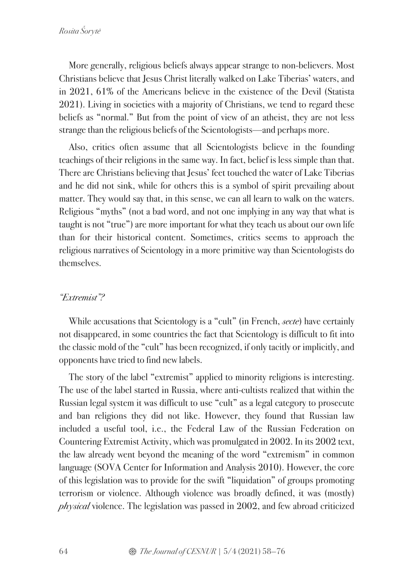More generally, religious beliefs always appear strange to non-believers. Most Christians believe that Jesus Christ literally walked on Lake Tiberias' waters, and in 2021, 61% of the Americans believe in the existence of the Devil (Statista 2021). Living in societies with a majority of Christians, we tend to regard these beliefs as "normal." But from the point of view of an atheist, they are not less strange than the religious beliefs of the Scientologists—and perhaps more.

Also, critics often assume that all Scientologists believe in the founding teachings of their religions in the same way. In fact, belief is less simple than that. There are Christians believing that Jesus' feet touched the water of Lake Tiberias and he did not sink, while for others this is a symbol of spirit prevailing about matter. They would say that, in this sense, we can all learn to walk on the waters. Religious "myths" (not a bad word, and not one implying in any way that what is taught is not "true") are more important for what they teach us about our own life than for their historical content. Sometimes, critics seems to approach the religious narratives of Scientology in a more primitive way than Scientologists do themselves.

### *"Extremist"?*

While accusations that Scientology is a "cult" (in French, *secte*) have certainly not disappeared, in some countries the fact that Scientology is difficult to fit into the classic mold of the "cult" has been recognized, if only tacitly or implicitly, and opponents have tried to find new labels.

The story of the label "extremist" applied to minority religions is interesting. The use of the label started in Russia, where anti-cultists realized that within the Russian legal system it was difficult to use "cult" as a legal category to prosecute and ban religions they did not like. However, they found that Russian law included a useful tool, i.e., the Federal Law of the Russian Federation on Countering Extremist Activity, which was promulgated in 2002. In its 2002 text, the law already went beyond the meaning of the word "extremism" in common language (SOVA Center for Information and Analysis 2010). However, the core of this legislation was to provide for the swift "liquidation" of groups promoting terrorism or violence. Although violence was broadly defined, it was (mostly) *physical* violence. The legislation was passed in 2002, and few abroad criticized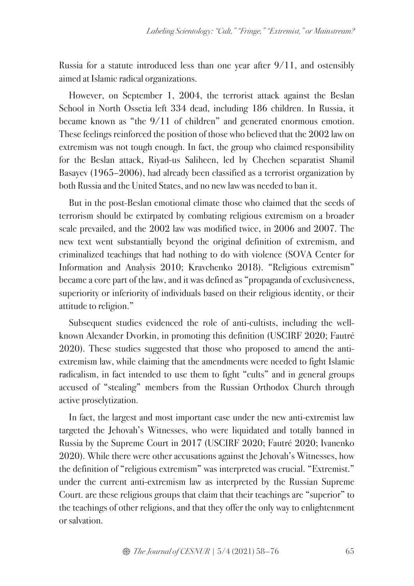Russia for a statute introduced less than one year after 9/11, and ostensibly aimed at Islamic radical organizations.

However, on September 1, 2004, the terrorist attack against the Beslan School in North Ossetia left 334 dead, including 186 children. In Russia, it became known as "the 9/11 of children" and generated enormous emotion. These feelings reinforced the position of those who believed that the 2002 law on extremism was not tough enough. In fact, the group who claimed responsibility for the Beslan attack, Riyad-us Saliheen, led by Chechen separatist Shamil Basayev (1965–2006), had already been classified as a terrorist organization by both Russia and the United States, and no new law was needed to ban it.

But in the post-Beslan emotional climate those who claimed that the seeds of terrorism should be extirpated by combating religious extremism on a broader scale prevailed, and the 2002 law was modified twice, in 2006 and 2007. The new text went substantially beyond the original definition of extremism, and criminalized teachings that had nothing to do with violence (SOVA Center for Information and Analysis 2010; Kravchenko 2018). "Religious extremism" became a core part of the law, and it was defined as "propaganda of exclusiveness, superiority or inferiority of individuals based on their religious identity, or their attitude to religion."

Subsequent studies evidenced the role of anti-cultists, including the wellknown Alexander Dvorkin, in promoting this definition (USCIRF 2020; Fautré 2020). These studies suggested that those who proposed to amend the antiextremism law, while claiming that the amendments were needed to fight Islamic radicalism, in fact intended to use them to fight "cults" and in general groups accused of "stealing" members from the Russian Orthodox Church through active proselytization.

In fact, the largest and most important case under the new anti-extremist law targeted the Jehovah's Witnesses, who were liquidated and totally banned in Russia by the Supreme Court in 2017 (USCIRF 2020; Fautré 2020; Ivanenko 2020). While there were other accusations against the Jehovah's Witnesses, how the definition of "religious extremism" was interpreted was crucial. "Extremist." under the current anti-extremism law as interpreted by the Russian Supreme Court. are these religious groups that claim that their teachings are "superior" to the teachings of other religions, and that they offer the only way to enlightenment or salvation.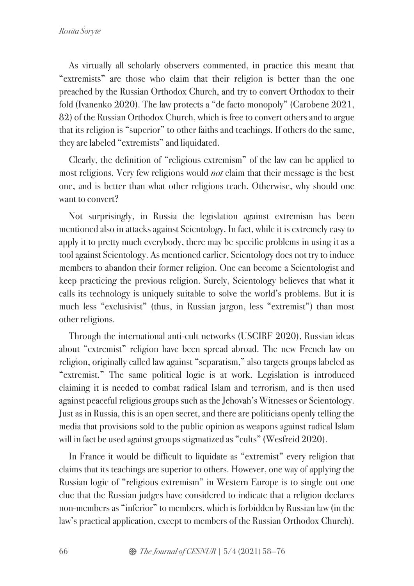As virtually all scholarly observers commented, in practice this meant that "extremists" are those who claim that their religion is better than the one preached by the Russian Orthodox Church, and try to convert Orthodox to their fold (Ivanenko 2020). The law protects a "de facto monopoly" (Carobene 2021, 82) of the Russian Orthodox Church, which is free to convert others and to argue that its religion is "superior" to other faiths and teachings. If others do the same, they are labeled "extremists" and liquidated.

Clearly, the definition of "religious extremism" of the law can be applied to most religions. Very few religions would *not* claim that their message is the best one, and is better than what other religions teach. Otherwise, why should one want to convert?

Not surprisingly, in Russia the legislation against extremism has been mentioned also in attacks against Scientology. In fact, while it is extremely easy to apply it to pretty much everybody, there may be specific problems in using it as a tool against Scientology. As mentioned earlier, Scientology does not try to induce members to abandon their former religion. One can become a Scientologist and keep practicing the previous religion. Surely, Scientology believes that what it calls its technology is uniquely suitable to solve the world's problems. But it is much less "exclusivist" (thus, in Russian jargon, less "extremist") than most other religions.

Through the international anti-cult networks (USCIRF 2020), Russian ideas about "extremist" religion have been spread abroad. The new French law on religion, originally called law against "separatism," also targets groups labeled as "extremist." The same political logic is at work. Legislation is introduced claiming it is needed to combat radical Islam and terrorism, and is then used against peaceful religious groups such as the Jehovah's Witnesses or Scientology. Just as in Russia, this is an open secret, and there are politicians openly telling the media that provisions sold to the public opinion as weapons against radical Islam will in fact be used against groups stigmatized as "cults" (Wesfreid 2020).

In France it would be difficult to liquidate as "extremist" every religion that claims that its teachings are superior to others. However, one way of applying the Russian logic of "religious extremism" in Western Europe is to single out one clue that the Russian judges have considered to indicate that a religion declares non-members as "inferior" to members, which is forbidden by Russian law (in the law's practical application, except to members of the Russian Orthodox Church).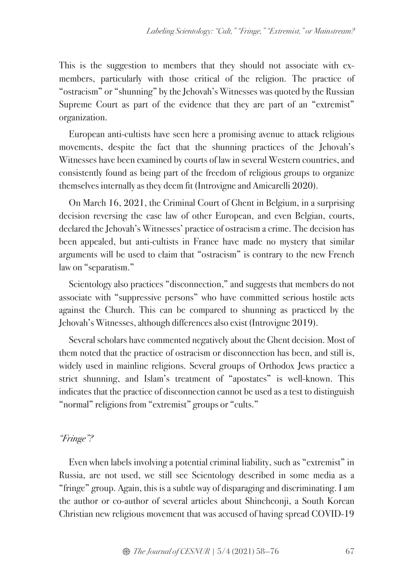This is the suggestion to members that they should not associate with exmembers, particularly with those critical of the religion. The practice of "ostracism" or "shunning" by the Jehovah's Witnesses was quoted by the Russian Supreme Court as part of the evidence that they are part of an "extremist" organization.

European anti-cultists have seen here a promising avenue to attack religious movements, despite the fact that the shunning practices of the Jehovah's Witnesses have been examined by courts of law in several Western countries, and consistently found as being part of the freedom of religious groups to organize themselves internally as they deem fit (Introvigne and Amicarelli 2020).

On March 16, 2021, the Criminal Court of Ghent in Belgium, in a surprising decision reversing the case law of other European, and even Belgian, courts, declared the Jehovah's Witnesses' practice of ostracism a crime. The decision has been appealed, but anti-cultists in France have made no mystery that similar arguments will be used to claim that "ostracism" is contrary to the new French law on "separatism."

Scientology also practices "disconnection," and suggests that members do not associate with "suppressive persons" who have committed serious hostile acts against the Church. This can be compared to shunning as practiced by the Jehovah's Witnesses, although differences also exist (Introvigne 2019).

Several scholars have commented negatively about the Ghent decision. Most of them noted that the practice of ostracism or disconnection has been, and still is, widely used in mainline religions. Several groups of Orthodox Jews practice a strict shunning, and Islam's treatment of "apostates" is well-known. This indicates that the practice of disconnection cannot be used as a test to distinguish "normal" religions from "extremist" groups or "cults."

#### *"Fringe"?*

Even when labels involving a potential criminal liability, such as "extremist" in Russia, are not used, we still see Scientology described in some media as a "fringe" group. Again, this is a subtle way of disparaging and discriminating. I am the author or co-author of several articles about Shincheonji, a South Korean Christian new religious movement that was accused of having spread COVID-19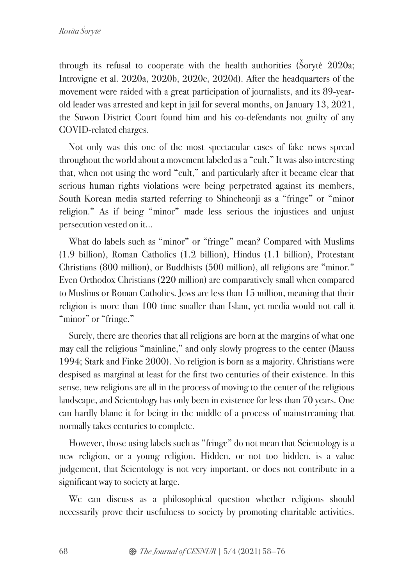through its refusal to cooperate with the health authorities (Šorytė 2020a; Introvigne et al. 2020a, 2020b, 2020c, 2020d). After the headquarters of the movement were raided with a great participation of journalists, and its 89-yearold leader was arrested and kept in jail for several months, on January 13, 2021, the Suwon District Court found him and his co-defendants not guilty of any COVID-related charges.

Not only was this one of the most spectacular cases of fake news spread throughout the world about a movement labeled as a "cult." It was also interesting that, when not using the word "cult," and particularly after it became clear that serious human rights violations were being perpetrated against its members, South Korean media started referring to Shincheonji as a "fringe" or "minor religion." As if being "minor" made less serious the injustices and unjust persecution vested on it…

What do labels such as "minor" or "fringe" mean? Compared with Muslims (1.9 billion), Roman Catholics (1.2 billion), Hindus (1.1 billion), Protestant Christians (800 million), or Buddhists (500 million), all religions are "minor." Even Orthodox Christians (220 million) are comparatively small when compared to Muslims or Roman Catholics. Jews are less than 15 million, meaning that their religion is more than 100 time smaller than Islam, yet media would not call it "minor" or "fringe."

Surely, there are theories that all religions are born at the margins of what one may call the religious "mainline," and only slowly progress to the center (Mauss 1994; Stark and Finke 2000). No religion is born as a majority. Christians were despised as marginal at least for the first two centuries of their existence. In this sense, new religions are all in the process of moving to the center of the religious landscape, and Scientology has only been in existence for less than 70 years. One can hardly blame it for being in the middle of a process of mainstreaming that normally takes centuries to complete.

However, those using labels such as "fringe" do not mean that Scientology is a new religion, or a young religion. Hidden, or not too hidden, is a value judgement, that Scientology is not very important, or does not contribute in a significant way to society at large.

We can discuss as a philosophical question whether religions should necessarily prove their usefulness to society by promoting charitable activities.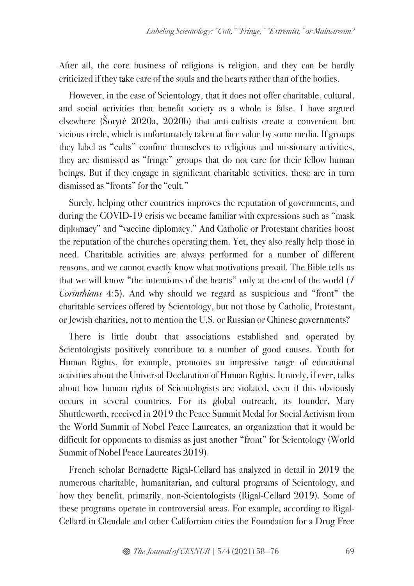After all, the core business of religions is religion, and they can be hardly criticized if they take care of the souls and the hearts rather than of the bodies.

However, in the case of Scientology, that it does not offer charitable, cultural, and social activities that benefit society as a whole is false. I have argued elsewhere (Šorytė 2020a, 2020b) that anti-cultists create a convenient but vicious circle, which is unfortunately taken at face value by some media. If groups they label as "cults" confine themselves to religious and missionary activities, they are dismissed as "fringe" groups that do not care for their fellow human beings. But if they engage in significant charitable activities, these are in turn dismissed as "fronts" for the "cult."

Surely, helping other countries improves the reputation of governments, and during the COVID-19 crisis we became familiar with expressions such as "mask diplomacy" and "vaccine diplomacy." And Catholic or Protestant charities boost the reputation of the churches operating them. Yet, they also really help those in need. Charitable activities are always performed for a number of different reasons, and we cannot exactly know what motivations prevail. The Bible tells us that we will know "the intentions of the hearts" only at the end of the world (*1 Corinthians* 4:5). And why should we regard as suspicious and "front" the charitable services offered by Scientology, but not those by Catholic, Protestant, or Jewish charities, not to mention the U.S. or Russian or Chinese governments?

There is little doubt that associations established and operated by Scientologists positively contribute to a number of good causes. Youth for Human Rights, for example, promotes an impressive range of educational activities about the Universal Declaration of Human Rights. It rarely, if ever, talks about how human rights of Scientologists are violated, even if this obviously occurs in several countries. For its global outreach, its founder, Mary Shuttleworth, received in 2019 the Peace Summit Medal for Social Activism from the World Summit of Nobel Peace Laureates, an organization that it would be difficult for opponents to dismiss as just another "front" for Scientology (World Summit of Nobel Peace Laureates 2019).

French scholar Bernadette Rigal-Cellard has analyzed in detail in 2019 the numerous charitable, humanitarian, and cultural programs of Scientology, and how they benefit, primarily, non-Scientologists (Rigal-Cellard 2019). Some of these programs operate in controversial areas. For example, according to Rigal-Cellard in Glendale and other Californian cities the Foundation for a Drug Free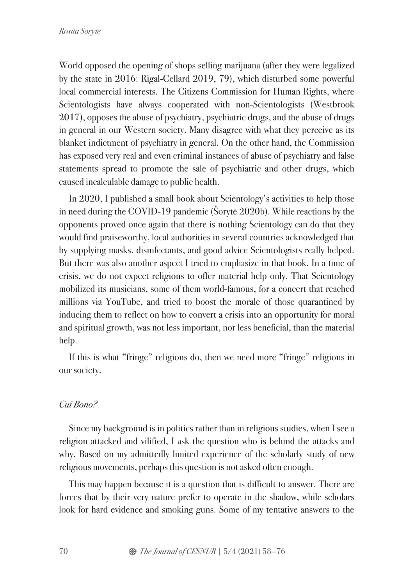World opposed the opening of shops selling marijuana (after they were legalized by the state in 2016: Rigal-Cellard 2019, 79), which disturbed some powerful local commercial interests. The Citizens Commission for Human Rights, where Scientologists have always cooperated with non-Scientologists (Westbrook 2017), opposes the abuse of psychiatry, psychiatric drugs, and the abuse of drugs in general in our Western society. Many disagree with what they perceive as its blanket indictment of psychiatry in general. On the other hand, the Commission has exposed very real and even criminal instances of abuse of psychiatry and false statements spread to promote the sale of psychiatric and other drugs, which caused incalculable damage to public health.

In 2020, I published a small book about Scientology's activities to help those in need during the COVID-19 pandemic (Šorytė 2020b). While reactions by the opponents proved once again that there is nothing Scientology can do that they would find praiseworthy, local authorities in several countries acknowledged that by supplying masks, disinfectants, and good advice Scientologists really helped. But there was also another aspect I tried to emphasize in that book. In a time of crisis, we do not expect religions to offer material help only. That Scientology mobilized its musicians, some of them world-famous, for a concert that reached millions via YouTube, and tried to boost the morale of those quarantined by inducing them to reflect on how to convert a crisis into an opportunity for moral and spiritual growth, was not less important, nor less beneficial, than the material help.

If this is what "fringe" religions do, then we need more "fringe" religions in our society.

# *Cui Bono?*

Since my background is in politics rather than in religious studies, when I see a religion attacked and vilified, I ask the question who is behind the attacks and why. Based on my admittedly limited experience of the scholarly study of new religious movements, perhaps this question is not asked often enough.

This may happen because it is a question that is difficult to answer. There are forces that by their very nature prefer to operate in the shadow, while scholars look for hard evidence and smoking guns. Some of my tentative answers to the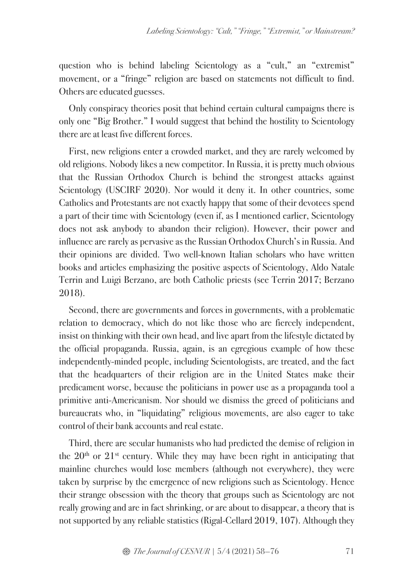question who is behind labeling Scientology as a "cult," an "extremist" movement, or a "fringe" religion are based on statements not difficult to find. Others are educated guesses.

Only conspiracy theories posit that behind certain cultural campaigns there is only one "Big Brother." I would suggest that behind the hostility to Scientology there are at least five different forces.

First, new religions enter a crowded market, and they are rarely welcomed by old religions. Nobody likes a new competitor. In Russia, it is pretty much obvious that the Russian Orthodox Church is behind the strongest attacks against Scientology (USCIRF 2020). Nor would it deny it. In other countries, some Catholics and Protestants are not exactly happy that some of their devotees spend a part of their time with Scientology (even if, as I mentioned earlier, Scientology does not ask anybody to abandon their religion). However, their power and influence are rarely as pervasive as the Russian Orthodox Church's in Russia. And their opinions are divided. Two well-known Italian scholars who have written books and articles emphasizing the positive aspects of Scientology, Aldo Natale Terrin and Luigi Berzano, are both Catholic priests (see Terrin 2017; Berzano 2018).

Second, there are governments and forces in governments, with a problematic relation to democracy, which do not like those who are fiercely independent, insist on thinking with their own head, and live apart from the lifestyle dictated by the official propaganda. Russia, again, is an egregious example of how these independently-minded people, including Scientologists, are treated, and the fact that the headquarters of their religion are in the United States make their predicament worse, because the politicians in power use as a propaganda tool a primitive anti-Americanism. Nor should we dismiss the greed of politicians and bureaucrats who, in "liquidating" religious movements, are also eager to take control of their bank accounts and real estate.

Third, there are secular humanists who had predicted the demise of religion in the  $20<sup>th</sup>$  or  $21<sup>st</sup>$  century. While they may have been right in anticipating that mainline churches would lose members (although not everywhere), they were taken by surprise by the emergence of new religions such as Scientology. Hence their strange obsession with the theory that groups such as Scientology are not really growing and are in fact shrinking, or are about to disappear, a theory that is not supported by any reliable statistics (Rigal-Cellard 2019, 107). Although they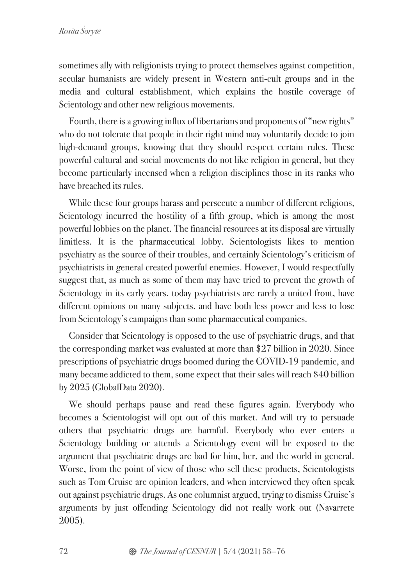sometimes ally with religionists trying to protect themselves against competition, secular humanists are widely present in Western anti-cult groups and in the media and cultural establishment, which explains the hostile coverage of Scientology and other new religious movements.

Fourth, there is a growing influx of libertarians and proponents of "new rights" who do not tolerate that people in their right mind may voluntarily decide to join high-demand groups, knowing that they should respect certain rules. These powerful cultural and social movements do not like religion in general, but they become particularly incensed when a religion disciplines those in its ranks who have breached its rules.

While these four groups harass and persecute a number of different religions, Scientology incurred the hostility of a fifth group, which is among the most powerful lobbies on the planet. The financial resources at its disposal are virtually limitless. It is the pharmaceutical lobby. Scientologists likes to mention psychiatry as the source of their troubles, and certainly Scientology's criticism of psychiatrists in general created powerful enemies. However, I would respectfully suggest that, as much as some of them may have tried to prevent the growth of Scientology in its early years, today psychiatrists are rarely a united front, have different opinions on many subjects, and have both less power and less to lose from Scientology's campaigns than some pharmaceutical companies.

Consider that Scientology is opposed to the use of psychiatric drugs, and that the corresponding market was evaluated at more than \$27 billion in 2020. Since prescriptions of psychiatric drugs boomed during the COVID-19 pandemic, and many became addicted to them, some expect that their sales will reach \$40 billion by 2025 (GlobalData 2020).

We should perhaps pause and read these figures again. Everybody who becomes a Scientologist will opt out of this market. And will try to persuade others that psychiatric drugs are harmful. Everybody who ever enters a Scientology building or attends a Scientology event will be exposed to the argument that psychiatric drugs are bad for him, her, and the world in general. Worse, from the point of view of those who sell these products, Scientologists such as Tom Cruise are opinion leaders, and when interviewed they often speak out against psychiatric drugs. As one columnist argued, trying to dismiss Cruise's arguments by just offending Scientology did not really work out (Navarrete 2005).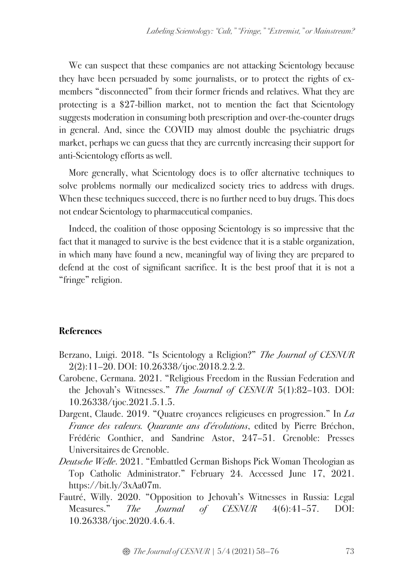We can suspect that these companies are not attacking Scientology because they have been persuaded by some journalists, or to protect the rights of exmembers "disconnected" from their former friends and relatives. What they are protecting is a \$27-billion market, not to mention the fact that Scientology suggests moderation in consuming both prescription and over-the-counter drugs in general. And, since the COVID may almost double the psychiatric drugs market, perhaps we can guess that they are currently increasing their support for anti-Scientology efforts as well.

More generally, what Scientology does is to offer alternative techniques to solve problems normally our medicalized society tries to address with drugs. When these techniques succeed, there is no further need to buy drugs. This does not endear Scientology to pharmaceutical companies.

Indeed, the coalition of those opposing Scientology is so impressive that the fact that it managed to survive is the best evidence that it is a stable organization, in which many have found a new, meaningful way of living they are prepared to defend at the cost of significant sacrifice. It is the best proof that it is not a "fringe" religion.

## **References**

- Berzano, Luigi. 2018. "Is Scientology a Religion?" *The Journal of CESNUR*  2(2):11–20. DOI: 10.26338/tjoc.2018.2.2.2.
- Carobene, Germana. 2021. "Religious Freedom in the Russian Federation and the Jehovah's Witnesses." *The Journal of CESNUR* 5(1):82–103. DOI: 10.26338/tjoc.2021.5.1.5.
- Dargent, Claude. 2019. "Quatre croyances religieuses en progression." In *La France des valeurs. Quarante ans d'évolutions*, edited by Pierre Bréchon, Frédéric Gonthier, and Sandrine Astor, 247–51. Grenoble: Presses Universitaires de Grenoble.
- *Deutsche Welle*. 2021. "Embattled German Bishops Pick Woman Theologian as Top Catholic Administrator." February 24. Accessed June 17, 2021. https://bit.ly/3xAa07m.
- Fautré, Willy. 2020. "Opposition to Jehovah's Witnesses in Russia: Legal Measures." *The Journal of CESNUR* 4(6):41–57. DOI: 10.26338/tjoc.2020.4.6.4.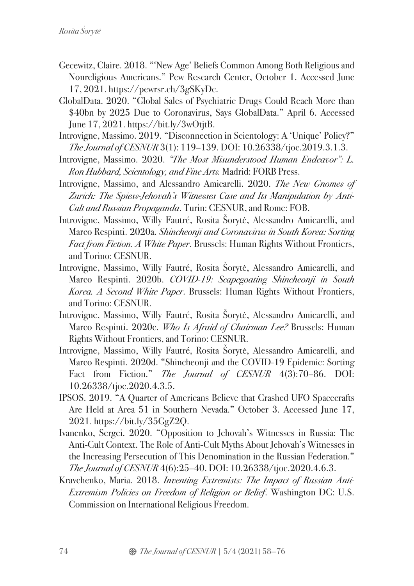- Gecewitz, Claire. 2018. "'New Age' Beliefs Common Among Both Religious and Nonreligious Americans." Pew Research Center, October 1. Accessed June 17, 2021. https://pewrsr.ch/3gSKyDc.
- GlobalData. 2020. "Global Sales of Psychiatric Drugs Could Reach More than \$40bn by 2025 Due to Coronavirus, Says GlobalData." April 6. Accessed June 17, 2021. https://bit.ly/3wOtjtB.
- Introvigne, Massimo. 2019. "Disconnection in Scientology: A 'Unique' Policy?" *The Journal of CESNUR* 3(1): 119–139. DOI: 10.26338/tjoc.2019.3.1.3.
- Introvigne, Massimo. 2020. *"The Most Misunderstood Human Endeavor": L. Ron Hubbard, Scientology, and Fine Arts.* Madrid: FORB Press.
- Introvigne, Massimo, and Alessandro Amicarelli. 2020. *The New Gnomes of Zurich: The Spiess-Jehovah's Witnesses Case and Its Manipulation by Anti-Cult and Russian Propaganda*. Turin: CESNUR, and Rome: FOB.
- Introvigne, Massimo, Willy Fautré, Rosita Šorytė, Alessandro Amicarelli, and Marco Respinti. 2020a. *Shincheonji and Coronavirus in South Korea: Sorting Fact from Fiction. A White Paper*. Brussels: Human Rights Without Frontiers, and Torino: CESNUR.
- Introvigne, Massimo, Willy Fautré, Rosita Šorytė, Alessandro Amicarelli, and Marco Respinti. 2020b. *COVID-19: Scapegoating Shincheonji in South Korea. A Second White Paper*. Brussels: Human Rights Without Frontiers, and Torino: CESNUR.
- Introvigne, Massimo, Willy Fautré, Rosita Šorytė, Alessandro Amicarelli, and Marco Respinti. 2020c. *Who Is Afraid of Chairman Lee?* Brussels: Human Rights Without Frontiers, and Torino: CESNUR.
- Introvigne, Massimo, Willy Fautré, Rosita Šorytė, Alessandro Amicarelli, and Marco Respinti. 2020d. "Shincheonji and the COVID-19 Epidemic: Sorting Fact from Fiction." *The Journal of CESNUR* 4(3):70–86. DOI: 10.26338/tjoc.2020.4.3.5.
- IPSOS. 2019. "A Quarter of Americans Believe that Crashed UFO Spacecrafts Are Held at Area 51 in Southern Nevada." October 3. Accessed June 17, 2021. https://bit.ly/35GgZ2Q.
- Ivanenko, Sergei. 2020. "Opposition to Jehovah's Witnesses in Russia: The Anti-Cult Context. The Role of Anti-Cult Myths About Jehovah's Witnesses in the Increasing Persecution of This Denomination in the Russian Federation." *The Journal of CESNUR* 4(6):25–40. DOI: 10.26338/tjoc.2020.4.6.3.
- Kravchenko, Maria. 2018. *Inventing Extremists: The Impact of Russian Anti-Extremism Policies on Freedom of Religion or Belief*. Washington DC: U.S. Commission on International Religious Freedom.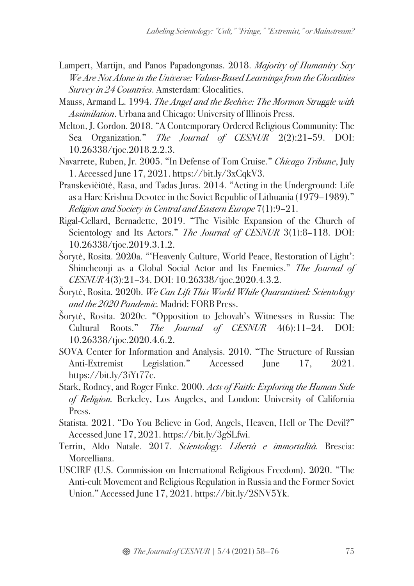- Lampert, Martijn, and Panos Papadongonas. 2018. *Majority of Humanity Say We Are Not Alone in the Universe: Values-Based Learnings from the Glocalities Survey in 24 Countries*. Amsterdam: Glocalities.
- Mauss, Armand L. 1994. *The Angel and the Beehive: The Mormon Struggle with Assimilation*. Urbana and Chicago: University of Illinois Press.
- Melton, J. Gordon. 2018. "A Contemporary Ordered Religious Community: The Sea Organization." *The Journal of CESNUR* 2(2):21–59. DOI: 10.26338/tjoc.2018.2.2.3.
- Navarrete, Ruben, Jr. 2005. "In Defense of Tom Cruise." *Chicago Tribune*, July 1. Accessed June 17, 2021. https://bit.ly/3xCqkV3.
- Pranskevičiūtė, Rasa, and Tadas Juras. 2014. "Acting in the Underground: Life as a Hare Krishna Devotee in the Soviet Republic of Lithuania (1979–1989)." *Religion and Society in Central and Eastern Europe* 7(1):9–21.
- Rigal-Cellard, Bernadette, 2019. "The Visible Expansion of the Church of Scientology and Its Actors." *The Journal of CESNUR* 3(1):8–118. DOI: 10.26338/tjoc.2019.3.1.2.
- Šorytė, Rosita. 2020a. "'Heavenly Culture, World Peace, Restoration of Light': Shincheonji as a Global Social Actor and Its Enemies." *The Journal of CESNUR* 4(3):21–34. DOI: 10.26338/tjoc.2020.4.3.2.
- Šorytė, Rosita. 2020b. *We Can Lift This World While Quarantined: Scientology and the 2020 Pandemic.* Madrid: FORB Press.
- Šorytė, Rosita. 2020c. "Opposition to Jehovah's Witnesses in Russia: The Cultural Roots." *The Journal of CESNUR* 4(6):11–24. DOI: 10.26338/tjoc.2020.4.6.2.
- SOVA Center for Information and Analysis. 2010. "The Structure of Russian Anti-Extremist Legislation." Accessed June 17, 2021. https://bit.ly/3iYt77c.
- Stark, Rodney, and Roger Finke. 2000. *Acts of Faith: Exploring the Human Side of Religion.* Berkeley, Los Angeles, and London: University of California Press.
- Statista. 2021. "Do You Believe in God, Angels, Heaven, Hell or The Devil?" Accessed June 17, 2021. https://bit.ly/3gSLfwi.
- Terrin, Aldo Natale. 2017. *Scientology. Libertà e immortalità.* Brescia: Morcelliana.
- USCIRF (U.S. Commission on International Religious Freedom). 2020. "The Anti-cult Movement and Religious Regulation in Russia and the Former Soviet Union." Accessed June 17, 2021. https://bit.ly/2SNV5Yk.